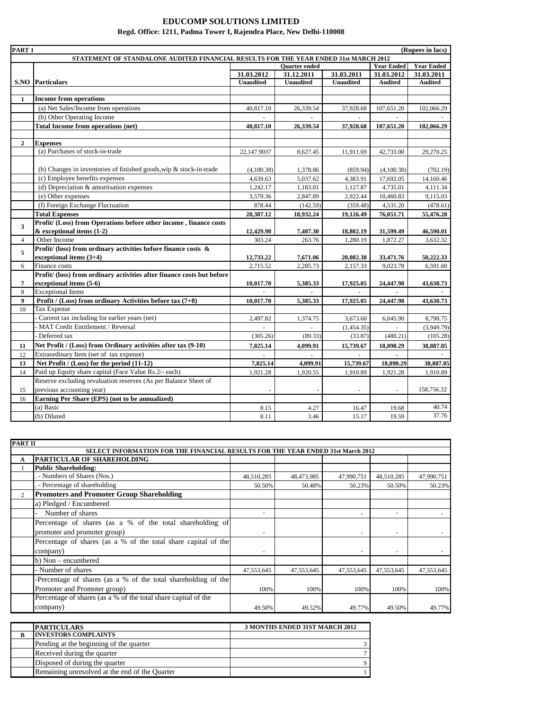| PART <sub>1</sub> |                                                                                      |                  |                      |                  |                   | (Rupees in lacs)  |
|-------------------|--------------------------------------------------------------------------------------|------------------|----------------------|------------------|-------------------|-------------------|
|                   | STATEMENT OF STANDALONE AUDITED FINANCIAL RESULTS FOR THE YEAR ENDED 31st MARCH 2012 |                  |                      |                  |                   |                   |
|                   |                                                                                      |                  | <b>Ouarter</b> ended |                  | <b>Year Ended</b> | <b>Year Ended</b> |
|                   |                                                                                      | 31.03.2012       | 31.12.2011           | 31.03.2011       | 31.03.2012        | 31.03.2011        |
|                   | <b>S.NO</b> Particulars                                                              | <b>Unaudited</b> | <b>Unaudited</b>     | <b>Unaudited</b> | <b>Audited</b>    | <b>Audited</b>    |
|                   |                                                                                      |                  |                      |                  |                   |                   |
| 1                 | <b>Income from operations</b>                                                        |                  |                      |                  |                   |                   |
|                   | (a) Net Sales/Income from operations                                                 | 40,817.10        | 26,339.54            | 37,928.68        | 107,651.20        | 102,066.29        |
|                   | (b) Other Operating Income                                                           |                  |                      |                  |                   |                   |
|                   | <b>Total Income from operations (net)</b>                                            | 40,817.10        | 26,339.54            | 37,928.68        | 107,651.20        | 102,066.29        |
|                   |                                                                                      |                  |                      |                  |                   |                   |
| $\mathbf{2}$      | <b>Expenses</b><br>(a) Purchases of stock-in-trade                                   |                  |                      |                  |                   |                   |
|                   |                                                                                      | 22,147.9037      | 8,627.45             | 11,911.69        | 42,733.00         | 29,270.25         |
|                   |                                                                                      |                  |                      |                  |                   |                   |
|                   | (b) Changes in inventories of finished goods, wip $\&$ stock-in-trade                | (4,100.38)       | 1,378.86             | (859.94)         | (4,100.38)        | (702.19)          |
|                   | (c) Employee benefits expenses                                                       | 4,639.63         | 5,037.62             | 4,383.91         | 17,692.05         | 14,160.46         |
|                   | (d) Depreciation $\&$ amortisation expenses                                          | 1,242.17         | 1,183.01             | 1,127.87         | 4,735.01          | 4,111.34          |
|                   | (e) Other expenses                                                                   | 3,579.36         | 2,847.89             | 2,922.44         | 10,460.83         | 9,115.03          |
|                   | (f) Foreign Exchange Fluctuation                                                     | 878.44           | (142.59)             | (359.48)         | 4,531.20          | (478.61)          |
|                   | <b>Total Expenses</b>                                                                | 28,387.12        | 18,932.24            | 19,126.49        | 76,051.71         | 55,476.28         |
| 3                 | Profit/ (Loss) from Operations before other income, finance costs                    |                  |                      |                  |                   |                   |
|                   | $&$ exceptional items $(1-2)$                                                        | 12,429.98        | 7,407.30             | 18,802.19        | 31,599.49         | 46,590.01         |
| $\overline{4}$    | Other Income                                                                         | 303.24           | 263.76               | 1,280.19         | 1,872.27          | 3,632.32          |
| 5                 | Profit/ (loss) from ordinary activities before finance costs $\&$                    |                  |                      |                  |                   |                   |
|                   | exceptional items (3+4)                                                              | 12,733.22        | 7,671.06             | 20,082.38        | 33,471.76         | 50,222.33         |
| 6                 | Finance costs                                                                        | 2,715.52         | 2,285.73             | 2,157.33         | 9,023.78          | 6,591.60          |
|                   | Profit/ (loss) from ordinary activities after finance costs but before               |                  |                      |                  |                   |                   |
| $\overline{7}$    | exceptional items (5-6)                                                              | 10,017.70        | 5,385.33             | 17,925.05        | 24,447.98         | 43,630.73         |
| 8                 | <b>Exceptional Items</b>                                                             |                  |                      |                  |                   |                   |
| 9                 | Profit / (Loss) from ordinary Activities before tax $(7+8)$                          | 10,017.70        | 5,385.33             | 17,925.05        | 24,447.98         | 43,630.73         |
| 10                | <b>Tax Expense</b>                                                                   |                  |                      |                  |                   |                   |
|                   | Current tax including for earlier years (net)                                        | 2,497.82         | 1,374.75             | 3,673.60         | 6,045.90          | 8,798.75          |
|                   | MAT Credit Entitlement / Reversal                                                    |                  |                      | (1,454.35)       |                   | (3,949.79)        |
|                   | Deferred tax                                                                         | (305.26)         | (89.33)              | (33.87)          | (488.21)          | (105.28)          |
| 11                | Net Profit / (Loss) from Ordinary activities after tax (9-10)                        | 7,825.14         | 4,099.91             | 15,739.67        | 18,890.29         | 38,887.05         |
| 12                | Extraordinary Item (net of tax expense)                                              |                  |                      | $\sim$           |                   |                   |
| 13                | Net Profit / (Loss) for the period (11-12)                                           | 7,825.14         | 4,099.91             | 15,739.67        | 18,890.29         | 38,887.05         |
| 14                | Paid up Equity share capital (Face Value Rs.2/- each)                                | 1,921.28         | 1,920.55             | 1,910.89         | 1,921.28          | 1,910.89          |
|                   | Reserve excluding revaluation reserves (As per Balance Sheet of                      |                  |                      |                  |                   |                   |
| 15                | previous accounting year)                                                            |                  |                      |                  | $\sim$            | 158,756.32        |
| 16                | Earning Per Share (EPS) (not to be annualized)                                       |                  |                      |                  |                   |                   |
|                   | (a) Basic                                                                            | 8.15             | 4.27                 | 16.47            | 19.68             | 40.74             |
|                   | (b) Diluted                                                                          | 8.11             | 3.46                 | 15.17            | 19.59             | 37.76             |

#### **EDUCOMP SOLUTIONS LIMITED Regd. Office: 1211, Padma Tower I, Rajendra Place, New Delhi-110008**

| PART II |                                                                                 |                          |            |            |                |            |
|---------|---------------------------------------------------------------------------------|--------------------------|------------|------------|----------------|------------|
|         | SELECT INFORMATION FOR THE FINANCIAL RESULTS FOR THE YEAR ENDED 31st March 2012 |                          |            |            |                |            |
| A       | PARTICULAR OF SHAREHOLDING                                                      |                          |            |            |                |            |
|         | <b>Public Shareholding:</b>                                                     |                          |            |            |                |            |
|         | - Numbers of Shares (Nos.)                                                      | 48,510,285               | 48,473,985 | 47,990,751 | 48,510,285     | 47,990,751 |
|         | - Percentage of shareholding                                                    | 50.50%                   | 50.48%     | 50.23%     | 50.50%         | 50.23%     |
|         | <b>Promoters and Promoter Group Shareholding</b>                                |                          |            |            |                |            |
|         | a) Pledged / Encumbered                                                         |                          |            |            |                |            |
|         | Number of shares                                                                | $\overline{\phantom{0}}$ |            |            | $\overline{a}$ |            |
|         | Percentage of shares (as a % of the total shareholding of                       |                          |            |            |                |            |
|         | promoter and promoter group)                                                    | $\overline{\phantom{a}}$ |            |            | $\sim$         |            |
|         | Percentage of shares (as a % of the total share capital of the                  |                          |            |            |                |            |
|         | company)                                                                        |                          |            |            |                |            |
|         | b) Non – encumbered                                                             |                          |            |            |                |            |
|         | - Number of shares                                                              | 47,553,645               | 47,553,645 | 47,553,645 | 47,553,645     | 47,553,645 |
|         | -Percentage of shares (as a % of the total shareholding of the                  |                          |            |            |                |            |
|         | Promoter and Promoter group)                                                    | 100%                     | 100%       | 100%       | 100%           | 100%       |
|         | Percentage of shares (as a % of the total share capital of the                  |                          |            |            |                |            |
|         | company)                                                                        | 49.50%                   | 49.52%     | 49.77%     | 49.50%         | 49.77%     |
|         |                                                                                 |                          |            |            |                |            |

| <b>PARTICULARS</b>                             | 3 MONTHS ENDED 31ST MARCH 2012 |
|------------------------------------------------|--------------------------------|
| <b>INVESTORS COMPLAINTS</b>                    |                                |
| Pending at the beginning of the quarter        |                                |
| Received during the quarter                    |                                |
| Disposed of during the quarter                 |                                |
| Remaining unresolved at the end of the Quarter |                                |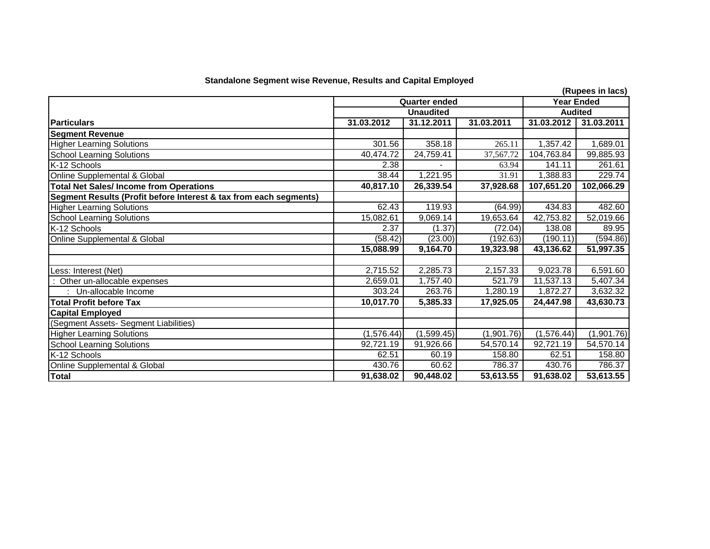| <b>Standalone Segment wise Revenue, Results and Capital Employed</b> |
|----------------------------------------------------------------------|
|----------------------------------------------------------------------|

| Standalone Segment wise Revenue, Results and Capital Employed     |            |                      |            |            |                  |  |
|-------------------------------------------------------------------|------------|----------------------|------------|------------|------------------|--|
|                                                                   |            |                      |            |            | (Rupees in lacs) |  |
|                                                                   |            | <b>Quarter ended</b> |            |            | Year Ended       |  |
|                                                                   |            | <b>Unaudited</b>     |            |            | <b>Audited</b>   |  |
| <b>Particulars</b>                                                | 31.03.2012 | 31.12.2011           | 31.03.2011 | 31.03.2012 | 31.03.2011       |  |
| <b>Segment Revenue</b>                                            |            |                      |            |            |                  |  |
| <b>Higher Learning Solutions</b>                                  | 301.56     | 358.18               | 265.11     | 1,357.42   | 1,689.01         |  |
| <b>School Learning Solutions</b>                                  | 40,474.72  | 24,759.41            | 37,567.72  | 104,763.84 | 99,885.93        |  |
| K-12 Schools                                                      | 2.38       |                      | 63.94      | 141.11     | 261.61           |  |
| Online Supplemental & Global                                      | 38.44      | 1,221.95             | 31.91      | 1,388.83   | 229.74           |  |
| <b>Total Net Sales/Income from Operations</b>                     | 40,817.10  | 26,339.54            | 37,928.68  | 107,651.20 | 102,066.29       |  |
| Segment Results (Profit before Interest & tax from each segments) |            |                      |            |            |                  |  |
| <b>Higher Learning Solutions</b>                                  | 62.43      | 119.93               | (64.99)    | 434.83     | 482.60           |  |
| <b>School Learning Solutions</b>                                  | 15,082.61  | 9,069.14             | 19,653.64  | 42,753.82  | 52,019.66        |  |
| K-12 Schools                                                      | 2.37       | (1.37)               | (72.04)    | 138.08     | 89.95            |  |
| Online Supplemental & Global                                      | (58.42)    | (23.00)              | (192.63)   | (190.11)   | (594.86)         |  |
|                                                                   | 15,088.99  | 9,164.70             | 19,323.98  | 43,136.62  | 51,997.35        |  |
|                                                                   |            |                      |            |            |                  |  |
| Less: Interest (Net)                                              | 2,715.52   | 2,285.73             | 2,157.33   | 9,023.78   | 6,591.60         |  |
| Other un-allocable expenses                                       | 2,659.01   | 1,757.40             | 521.79     | 11,537.13  | 5,407.34         |  |
| Un-allocable Income                                               | 303.24     | 263.76               | 1,280.19   | 1,872.27   | 3,632.32         |  |
| <b>Total Profit before Tax</b>                                    | 10,017.70  | 5,385.33             | 17,925.05  | 24,447.98  | 43,630.73        |  |
| <b>Capital Employed</b>                                           |            |                      |            |            |                  |  |
| (Segment Assets- Segment Liabilities)                             |            |                      |            |            |                  |  |
| <b>Higher Learning Solutions</b>                                  | (1,576.44) | (1,599.45)           | (1,901.76) | (1,576.44) | (1,901.76)       |  |
| <b>School Learning Solutions</b>                                  | 92,721.19  | 91,926.66            | 54,570.14  | 92,721.19  | 54,570.14        |  |
| K-12 Schools                                                      | 62.51      | 60.19                | 158.80     | 62.51      | 158.80           |  |
| Online Supplemental & Global                                      | 430.76     | 60.62                | 786.37     | 430.76     | 786.37           |  |
| <b>Total</b>                                                      | 91,638.02  | 90,448.02            | 53,613.55  | 91,638.02  | 53,613.55        |  |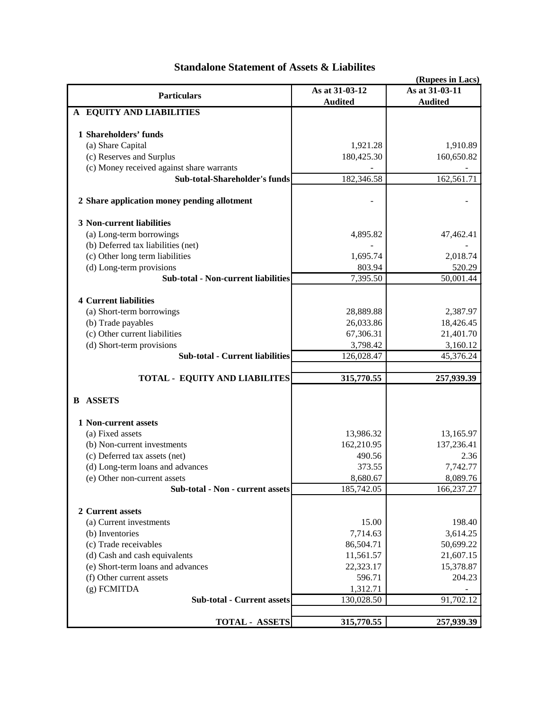| (Rupees in Lacs)                            |                |                |  |  |  |  |
|---------------------------------------------|----------------|----------------|--|--|--|--|
| <b>Particulars</b>                          | As at 31-03-12 | As at 31-03-11 |  |  |  |  |
|                                             | <b>Audited</b> | <b>Audited</b> |  |  |  |  |
| A EQUITY AND LIABILITIES                    |                |                |  |  |  |  |
|                                             |                |                |  |  |  |  |
| 1 Shareholders' funds                       |                |                |  |  |  |  |
| (a) Share Capital                           | 1,921.28       | 1,910.89       |  |  |  |  |
| (c) Reserves and Surplus                    | 180,425.30     | 160,650.82     |  |  |  |  |
| (c) Money received against share warrants   |                |                |  |  |  |  |
| Sub-total-Shareholder's funds               | 182,346.58     | 162,561.71     |  |  |  |  |
| 2 Share application money pending allotment |                |                |  |  |  |  |
| 3 Non-current liabilities                   |                |                |  |  |  |  |
| (a) Long-term borrowings                    | 4,895.82       | 47,462.41      |  |  |  |  |
| (b) Deferred tax liabilities (net)          |                |                |  |  |  |  |
| (c) Other long term liabilities             | 1,695.74       | 2,018.74       |  |  |  |  |
| (d) Long-term provisions                    | 803.94         | 520.29         |  |  |  |  |
| <b>Sub-total - Non-current liabilities</b>  | 7,395.50       | 50,001.44      |  |  |  |  |
|                                             |                |                |  |  |  |  |
| <b>4 Current liabilities</b>                |                |                |  |  |  |  |
| (a) Short-term borrowings                   | 28,889.88      | 2,387.97       |  |  |  |  |
| (b) Trade payables                          | 26,033.86      | 18,426.45      |  |  |  |  |
| (c) Other current liabilities               | 67,306.31      | 21,401.70      |  |  |  |  |
| (d) Short-term provisions                   | 3,798.42       | 3,160.12       |  |  |  |  |
| <b>Sub-total - Current liabilities</b>      | 126,028.47     | 45,376.24      |  |  |  |  |
|                                             |                |                |  |  |  |  |
| <b>TOTAL - EQUITY AND LIABILITES</b>        | 315,770.55     | 257,939.39     |  |  |  |  |
| <b>ASSETS</b><br>B                          |                |                |  |  |  |  |
| 1 Non-current assets                        |                |                |  |  |  |  |
| (a) Fixed assets                            | 13,986.32      | 13,165.97      |  |  |  |  |
| (b) Non-current investments                 | 162,210.95     | 137,236.41     |  |  |  |  |
| (c) Deferred tax assets (net)               | 490.56         | 2.36           |  |  |  |  |
| (d) Long-term loans and advances            | 373.55         | 7,742.77       |  |  |  |  |
| (e) Other non-current assets                | 8,680.67       | 8,089.76       |  |  |  |  |
| Sub-total - Non - current assets            | 185,742.05     | 166,237.27     |  |  |  |  |
|                                             |                |                |  |  |  |  |
| 2 Current assets                            |                |                |  |  |  |  |
| (a) Current investments                     | 15.00          | 198.40         |  |  |  |  |
| (b) Inventories                             | 7,714.63       | 3,614.25       |  |  |  |  |
| (c) Trade receivables                       | 86,504.71      | 50,699.22      |  |  |  |  |
| (d) Cash and cash equivalents               | 11,561.57      | 21,607.15      |  |  |  |  |
| (e) Short-term loans and advances           | 22,323.17      | 15,378.87      |  |  |  |  |
| (f) Other current assets                    | 596.71         | 204.23         |  |  |  |  |
| $(g)$ FCMITDA                               | 1,312.71       |                |  |  |  |  |
| Sub-total - Current assets                  | 130,028.50     | 91,702.12      |  |  |  |  |
|                                             |                |                |  |  |  |  |
| <b>TOTAL - ASSETS</b>                       | 315,770.55     | 257,939.39     |  |  |  |  |

# **Standalone Statement of Assets & Liabilites**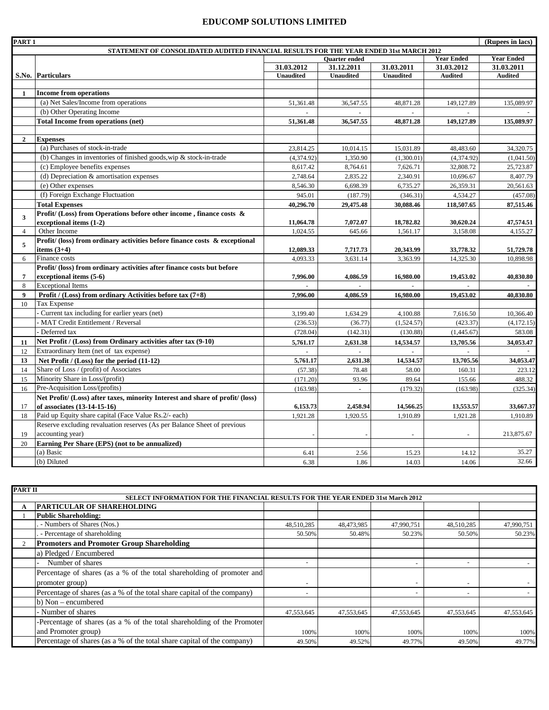#### **EDUCOMP SOLUTIONS LIMITED**

| PART <sub>1</sub> | (Rupees in lacs)                                                                       |                  |                   |                  |                |                |  |
|-------------------|----------------------------------------------------------------------------------------|------------------|-------------------|------------------|----------------|----------------|--|
|                   | STATEMENT OF CONSOLIDATED AUDITED FINANCIAL RESULTS FOR THE YEAR ENDED 31st MARCH 2012 |                  |                   |                  |                |                |  |
|                   |                                                                                        |                  | <b>Year Ended</b> |                  |                |                |  |
|                   |                                                                                        | 31.03.2012       | 31.12.2011        | 31.03.2011       | 31.03.2012     | 31.03.2011     |  |
|                   | S.No. Particulars                                                                      | <b>Unaudited</b> | <b>Unaudited</b>  | <b>Unaudited</b> | <b>Audited</b> | <b>Audited</b> |  |
|                   |                                                                                        |                  |                   |                  |                |                |  |
| 1                 | <b>Income from operations</b>                                                          |                  |                   |                  |                |                |  |
|                   | (a) Net Sales/Income from operations                                                   | 51,361.48        | 36,547.55         | 48,871.28        | 149,127.89     | 135,089.97     |  |
|                   | (b) Other Operating Income                                                             |                  |                   |                  |                |                |  |
|                   | Total Income from operations (net)                                                     | 51,361.48        | 36,547.55         | 48,871.28        | 149,127.89     | 135,089.97     |  |
|                   |                                                                                        |                  |                   |                  |                |                |  |
| $\overline{2}$    | <b>Expenses</b>                                                                        |                  |                   |                  |                |                |  |
|                   | (a) Purchases of stock-in-trade                                                        | 23,814.25        | 10,014.15         | 15,031.89        | 48,483.60      | 34,320.75      |  |
|                   | (b) Changes in inventories of finished goods, wip $\&$ stock-in-trade                  | (4,374.92)       | 1,350.90          | (1,300.01)       | (4,374.92)     | (1,041.50)     |  |
|                   | (c) Employee benefits expenses                                                         | 8.617.42         | 8,764.61          | 7.626.71         | 32,808.72      | 25,723.87      |  |
|                   | (d) Depreciation $\&$ amortisation expenses                                            | 2,748.64         | 2,835.22          | 2,340.91         | 10,696.67      | 8,407.79       |  |
|                   | (e) Other expenses                                                                     | 8,546.30         | 6,698.39          | 6,735.27         | 26,359.31      | 20,561.63      |  |
|                   | (f) Foreign Exchange Fluctuation                                                       | 945.01           | (187.79)          | (346.31)         | 4,534.27       | (457.08)       |  |
|                   | <b>Total Expenses</b>                                                                  | 40,296.70        | 29,475.48         | 30,088.46        | 118,507.65     | 87,515.46      |  |
| 3                 | Profit/ (Loss) from Operations before other income, finance costs &                    |                  |                   |                  |                |                |  |
|                   | exceptional items (1-2)                                                                | 11,064.78        | 7,072.07          | 18,782.82        | 30,620.24      | 47,574.51      |  |
| $\overline{4}$    | Other Income                                                                           | 1,024.55         | 645.66            | 1,561.17         | 3,158.08       | 4,155.27       |  |
| 5                 | Profit/ (loss) from ordinary activities before finance costs $\&$ exceptional          |                  |                   |                  |                |                |  |
|                   | items $(3+4)$                                                                          | 12,089.33        | 7,717.73          | 20,343.99        | 33,778.32      | 51,729.78      |  |
| 6                 | Finance costs                                                                          | 4,093.33         | 3,631.14          | 3,363.99         | 14,325.30      | 10,898.98      |  |
|                   | Profit/ (loss) from ordinary activities after finance costs but before                 |                  |                   |                  |                |                |  |
| 7                 | exceptional items (5-6)                                                                | 7,996.00         | 4,086.59          | 16,980.00        | 19,453.02      | 40,830.80      |  |
| 8                 | <b>Exceptional Items</b>                                                               |                  |                   |                  |                |                |  |
| 9                 | Profit / (Loss) from ordinary Activities before tax (7+8)                              | 7,996.00         | 4.086.59          | 16,980.00        | 19.453.02      | 40,830.80      |  |
| 10                | Tax Expense                                                                            |                  |                   |                  |                |                |  |
|                   | - Current tax including for earlier years (net)                                        | 3.199.40         | 1.634.29          | 4.100.88         | 7.616.50       | 10,366.40      |  |
|                   | - MAT Credit Entitlement / Reversal                                                    | (236.53)         | (36.77)           | (1,524.57)       | (423.37)       | (4, 172.15)    |  |
|                   | Deferred tax                                                                           | (728.04)         | (142.31)          | (130.88)         | (1,445.67)     | 583.08         |  |
| 11                | Net Profit / (Loss) from Ordinary activities after tax (9-10)                          | 5,761.17         | 2,631.38          | 14,534.57        | 13,705.56      | 34,053.47      |  |
| 12                | Extraordinary Item (net of tax expense)                                                |                  |                   |                  |                |                |  |
| 13                | Net Profit / (Loss) for the period (11-12)                                             | 5,761.17         | 2,631.38          | 14,534.57        | 13,705.56      | 34,053.47      |  |
| 14                | Share of Loss / (profit) of Associates                                                 | (57.38)          | 78.48             | 58.00            | 160.31         | 223.12         |  |
| 15                | Minority Share in Loss/(profit)                                                        | (171.20)         | 93.96             | 89.64            | 155.66         | 488.32         |  |
| 16                | Pre-Acquisition Loss/(profits)                                                         | (163.98)         | $\mathcal{L}$     | (179.32)         | (163.98)       | (325.34)       |  |
|                   | Net Profit/ (Loss) after taxes, minority Interest and share of profit/ (loss)          |                  |                   |                  |                |                |  |
| 17                | of associates (13-14-15-16)                                                            | 6,153.73         | 2,458.94          | 14,566.25        | 13,553.57      | 33,667.37      |  |
| 18                | Paid up Equity share capital (Face Value Rs.2/- each)                                  | 1,921.28         | 1,920.55          | 1,910.89         | 1,921.28       | 1,910.89       |  |
|                   | Reserve excluding revaluation reserves (As per Balance Sheet of previous               |                  |                   |                  |                |                |  |
| 19                | accounting year)                                                                       |                  |                   | $\overline{a}$   |                | 213,875.67     |  |
| 20                | Earning Per Share (EPS) (not to be annualized)                                         |                  |                   |                  |                |                |  |
|                   | (a) Basic                                                                              | 6.41             | 2.56              | 15.23            | 14.12          | 35.27          |  |
|                   | (b) Diluted                                                                            | 6.38             | 1.86              | 14.03            | 14.06          | 32.66          |  |

| <b>PART II</b> |                                                                                 |                          |            |            |                          |            |
|----------------|---------------------------------------------------------------------------------|--------------------------|------------|------------|--------------------------|------------|
|                | SELECT INFORMATION FOR THE FINANCIAL RESULTS FOR THE YEAR ENDED 31st March 2012 |                          |            |            |                          |            |
|                | PARTICULAR OF SHAREHOLDING                                                      |                          |            |            |                          |            |
|                | <b>Public Shareholding:</b>                                                     |                          |            |            |                          |            |
|                | . - Numbers of Shares (Nos.)                                                    | 48,510,285               | 48,473,985 | 47,990,751 | 48,510,285               | 47,990,751 |
|                | - Percentage of shareholding                                                    | 50.50%                   | 50.48%     | 50.23%     | 50.50%                   | 50.23%     |
|                | <b>Promoters and Promoter Group Shareholding</b>                                |                          |            |            |                          |            |
|                | a) Pledged / Encumbered                                                         |                          |            |            |                          |            |
|                | Number of shares                                                                | $\sim$                   |            |            | $\overline{\phantom{a}}$ |            |
|                | Percentage of shares (as a % of the total shareholding of promoter and          |                          |            |            |                          |            |
|                | promoter group)                                                                 | $\overline{\phantom{a}}$ |            |            |                          |            |
|                | Percentage of shares (as a % of the total share capital of the company)         | $\overline{\phantom{a}}$ |            |            | $\overline{\phantom{a}}$ |            |
|                | b) Non – encumbered                                                             |                          |            |            |                          |            |
|                | - Number of shares                                                              | 47,553,645               | 47,553,645 | 47,553,645 | 47,553,645               | 47,553,645 |
|                | -Percentage of shares (as a % of the total shareholding of the Promoter         |                          |            |            |                          |            |
|                | and Promoter group)                                                             | 100%                     | 100%       | 100%       | 100%                     | 100%       |
|                | Percentage of shares (as a % of the total share capital of the company)         | 49.50%                   | 49.52%     | 49.77%     | 49.50%                   | 49.77%     |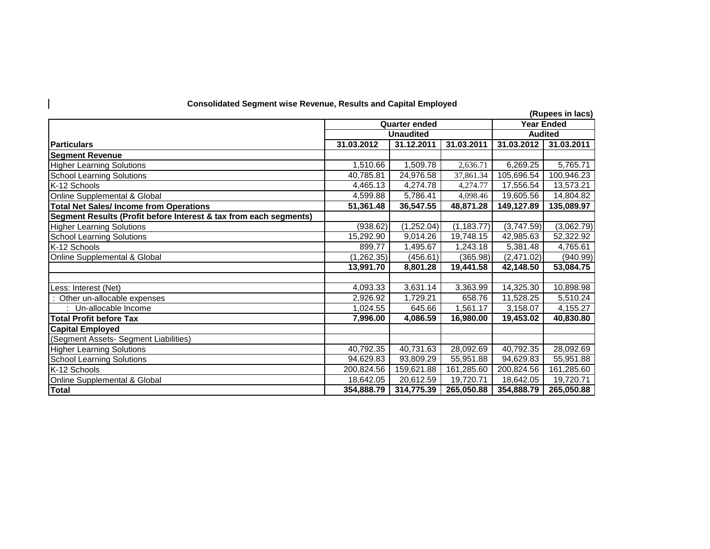| <b>Consolidated Segment wise Revenue, Results and Capital Employed</b> |             |                          |                   |            |                  |
|------------------------------------------------------------------------|-------------|--------------------------|-------------------|------------|------------------|
|                                                                        |             |                          |                   |            | (Rupees in lacs) |
|                                                                        |             | <b>Quarter ended</b>     | <b>Year Ended</b> |            |                  |
|                                                                        |             | <b>Unaudited</b>         |                   |            | <b>Audited</b>   |
| <b>Particulars</b>                                                     | 31.03.2012  | 31.03.2011<br>31.12.2011 |                   |            | 31.03.2011       |
| <b>Segment Revenue</b>                                                 |             |                          |                   |            |                  |
| <b>Higher Learning Solutions</b>                                       | 1,510.66    | 1,509.78                 | 2,636.71          | 6,269.25   | 5,765.71         |
| <b>School Learning Solutions</b>                                       | 40,785.81   | 24,976.58                | 37,861.34         | 105,696.54 | 100,946.23       |
| K-12 Schools                                                           | 4,465.13    | 4,274.78                 | 4,274.77          | 17,556.54  | 13,573.21        |
| Online Supplemental & Global                                           | 4,599.88    | 5,786.41                 | 4,098.46          | 19,605.56  | 14,804.82        |
| <b>Total Net Sales/Income from Operations</b>                          | 51,361.48   | 36,547.55                | 48,871.28         | 149,127.89 | 135,089.97       |
| Segment Results (Profit before Interest & tax from each segments)      |             |                          |                   |            |                  |
| <b>Higher Learning Solutions</b>                                       | (938.62)    | (1,252.04)               | (1, 183.77)       | (3,747.59) | (3,062.79)       |
| <b>School Learning Solutions</b>                                       | 15,292.90   | 9,014.26                 | 19,748.15         | 42,985.63  | 52,322.92        |
| K-12 Schools                                                           | 899.77      | 1,495.67                 | 1,243.18          | 5,381.48   | 4,765.61         |
| Online Supplemental & Global                                           | (1, 262.35) | (456.61)                 | (365.98)          | (2,471.02) | (940.99)         |
|                                                                        | 13,991.70   | 8,801.28                 | 19,441.58         | 42,148.50  | 53,084.75        |
|                                                                        |             |                          |                   |            |                  |
| Less: Interest (Net)                                                   | 4,093.33    | 3,631.14                 | 3,363.99          | 14,325.30  | 10,898.98        |
| Other un-allocable expenses                                            | 2,926.92    | 1,729.21                 | 658.76            | 11,528.25  | 5,510.24         |
| : Un-allocable Income                                                  | 1,024.55    | 645.66                   | 1,561.17          | 3,158.07   | 4,155.27         |
| <b>Total Profit before Tax</b>                                         | 7,996.00    | 4,086.59                 | 16,980.00         | 19,453.02  | 40,830.80        |
| <b>Capital Employed</b>                                                |             |                          |                   |            |                  |
| (Segment Assets- Segment Liabilities)                                  |             |                          |                   |            |                  |
| <b>Higher Learning Solutions</b>                                       | 40,792.35   | 40,731.63                | 28,092.69         | 40,792.35  | 28,092.69        |
| <b>School Learning Solutions</b>                                       | 94,629.83   | 93,809.29                | 55,951.88         | 94,629.83  | 55,951.88        |
| K-12 Schools                                                           | 200,824.56  | 159,621.88               | 161,285.60        | 200,824.56 | 161,285.60       |
| Online Supplemental & Global                                           | 18,642.05   | 20,612.59                | 19,720.71         | 18,642.05  | 19,720.71        |
| Total                                                                  | 354,888.79  | 314,775.39               | 265,050.88        | 354,888.79 | 265,050.88       |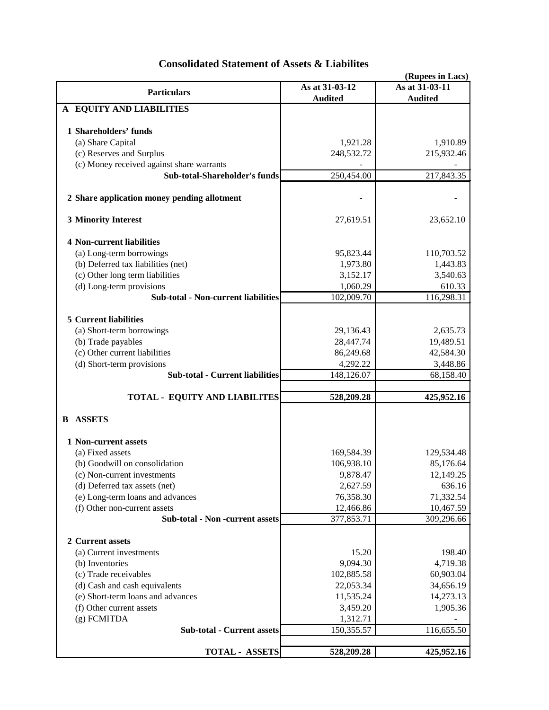|                                             |                | (Rupees in Lacs) |  |
|---------------------------------------------|----------------|------------------|--|
| <b>Particulars</b>                          | As at 31-03-12 | As at 31-03-11   |  |
|                                             | <b>Audited</b> | <b>Audited</b>   |  |
| A EQUITY AND LIABILITIES                    |                |                  |  |
|                                             |                |                  |  |
| 1 Shareholders' funds                       |                |                  |  |
| (a) Share Capital                           | 1,921.28       | 1,910.89         |  |
| (c) Reserves and Surplus                    | 248,532.72     | 215,932.46       |  |
| (c) Money received against share warrants   |                |                  |  |
| Sub-total-Shareholder's funds               | 250,454.00     | 217,843.35       |  |
|                                             |                |                  |  |
| 2 Share application money pending allotment |                |                  |  |
| <b>3 Minority Interest</b>                  | 27,619.51      | 23,652.10        |  |
|                                             |                |                  |  |
| <b>4 Non-current liabilities</b>            |                |                  |  |
| (a) Long-term borrowings                    | 95,823.44      | 110,703.52       |  |
| (b) Deferred tax liabilities (net)          | 1,973.80       | 1,443.83         |  |
| (c) Other long term liabilities             | 3,152.17       | 3,540.63         |  |
| (d) Long-term provisions                    | 1,060.29       | 610.33           |  |
| <b>Sub-total - Non-current liabilities</b>  | 102,009.70     | 116,298.31       |  |
|                                             |                |                  |  |
| <b>5 Current liabilities</b>                |                |                  |  |
| (a) Short-term borrowings                   | 29,136.43      | 2,635.73         |  |
| (b) Trade payables                          | 28,447.74      | 19,489.51        |  |
| (c) Other current liabilities               | 86,249.68      | 42,584.30        |  |
| (d) Short-term provisions                   | 4,292.22       | 3,448.86         |  |
| <b>Sub-total - Current liabilities</b>      | 148,126.07     | 68,158.40        |  |
|                                             |                |                  |  |
| <b>TOTAL - EQUITY AND LIABILITES</b>        | 528,209.28     | 425,952.16       |  |
|                                             |                |                  |  |
| <b>B ASSETS</b>                             |                |                  |  |
| 1 Non-current assets                        |                |                  |  |
| (a) Fixed assets                            |                | 129,534.48       |  |
| (b) Goodwill on consolidation               | 169,584.39     |                  |  |
|                                             | 106,938.10     | 85,176.64        |  |
| (c) Non-current investments                 | 9,878.47       | 12,149.25        |  |
| (d) Deferred tax assets (net)               | 2,627.59       | 636.16           |  |
| (e) Long-term loans and advances            | 76,358.30      | 71,332.54        |  |
| (f) Other non-current assets                | 12,466.86      | 10,467.59        |  |
| Sub-total - Non -current assets             | 377,853.71     | 309,296.66       |  |
| 2 Current assets                            |                |                  |  |
| (a) Current investments                     | 15.20          | 198.40           |  |
| (b) Inventories                             | 9,094.30       | 4,719.38         |  |
| (c) Trade receivables                       | 102,885.58     | 60,903.04        |  |
| (d) Cash and cash equivalents               | 22,053.34      | 34,656.19        |  |
| (e) Short-term loans and advances           | 11,535.24      | 14,273.13        |  |
| (f) Other current assets                    | 3,459.20       | 1,905.36         |  |
| $(g)$ FCMITDA                               | 1,312.71       |                  |  |
| <b>Sub-total - Current assets</b>           | 150,355.57     | 116,655.50       |  |
|                                             |                |                  |  |
| <b>TOTAL - ASSETS</b>                       | 528,209.28     | 425,952.16       |  |

## **Consolidated Statement of Assets & Liabilites**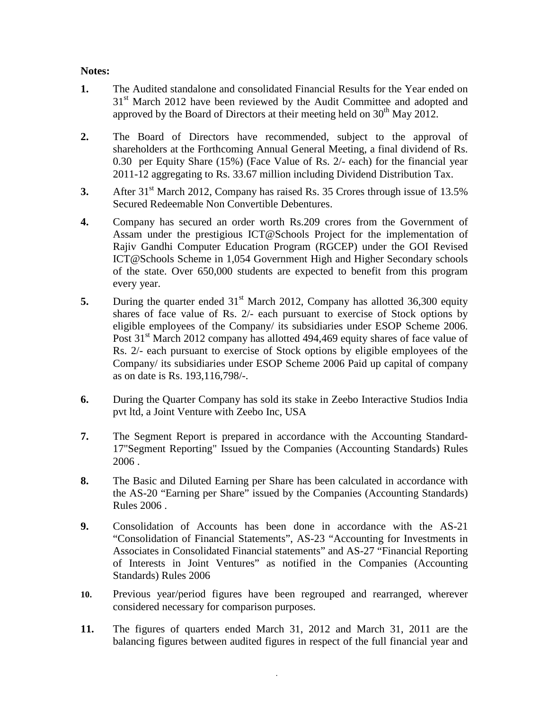### **Notes:**

- **1.** The Audited standalone and consolidated Financial Results for the Year ended on 31<sup>st</sup> March 2012 have been reviewed by the Audit Committee and adopted and approved by the Board of Directors at their meeting held on  $30<sup>th</sup>$  May 2012.
- **2.** The Board of Directors have recommended, subject to the approval of shareholders at the Forthcoming Annual General Meeting, a final dividend of Rs. 0.30 per Equity Share (15%) (Face Value of Rs. 2/- each) for the financial year 2011-12 aggregating to Rs. 33.67 million including Dividend Distribution Tax.
- **3.** After 31<sup>st</sup> March 2012, Company has raised Rs. 35 Crores through issue of 13.5% Secured Redeemable Non Convertible Debentures.
- **4.** Company has secured an order worth Rs.209 crores from the Government of Assam under the prestigious ICT@Schools Project for the implementation of Rajiv Gandhi Computer Education Program (RGCEP) under the GOI Revised ICT@Schools Scheme in 1,054 Government High and Higher Secondary schools of the state. Over 650,000 students are expected to benefit from this program every year.
- **5.** During the quarter ended 31<sup>st</sup> March 2012, Company has allotted 36,300 equity shares of face value of Rs. 2/- each pursuant to exercise of Stock options by eligible employees of the Company/ its subsidiaries under ESOP Scheme 2006. Post  $31<sup>st</sup>$  March 2012 company has allotted 494,469 equity shares of face value of Rs. 2/- each pursuant to exercise of Stock options by eligible employees of the Company/ its subsidiaries under ESOP Scheme 2006 Paid up capital of company as on date is Rs. 193,116,798/-.
- **6.** During the Quarter Company has sold its stake in Zeebo Interactive Studios India pvt ltd, a Joint Venture with Zeebo Inc, USA
- **7.** The Segment Report is prepared in accordance with the Accounting Standard-17"Segment Reporting" Issued by the Companies (Accounting Standards) Rules 2006 .
- **8.** The Basic and Diluted Earning per Share has been calculated in accordance with the AS-20 "Earning per Share" issued by the Companies (Accounting Standards) Rules 2006 .
- **9.** Consolidation of Accounts has been done in accordance with the AS-21 "Consolidation of Financial Statements", AS-23 "Accounting for Investments in Associates in Consolidated Financial statements" and AS-27 "Financial Reporting of Interests in Joint Ventures" as notified in the Companies (Accounting Standards) Rules 2006
- **10.** Previous year/period figures have been regrouped and rearranged, wherever considered necessary for comparison purposes.
- **11.** The figures of quarters ended March 31, 2012 and March 31, 2011 are the balancing figures between audited figures in respect of the full financial year and

.